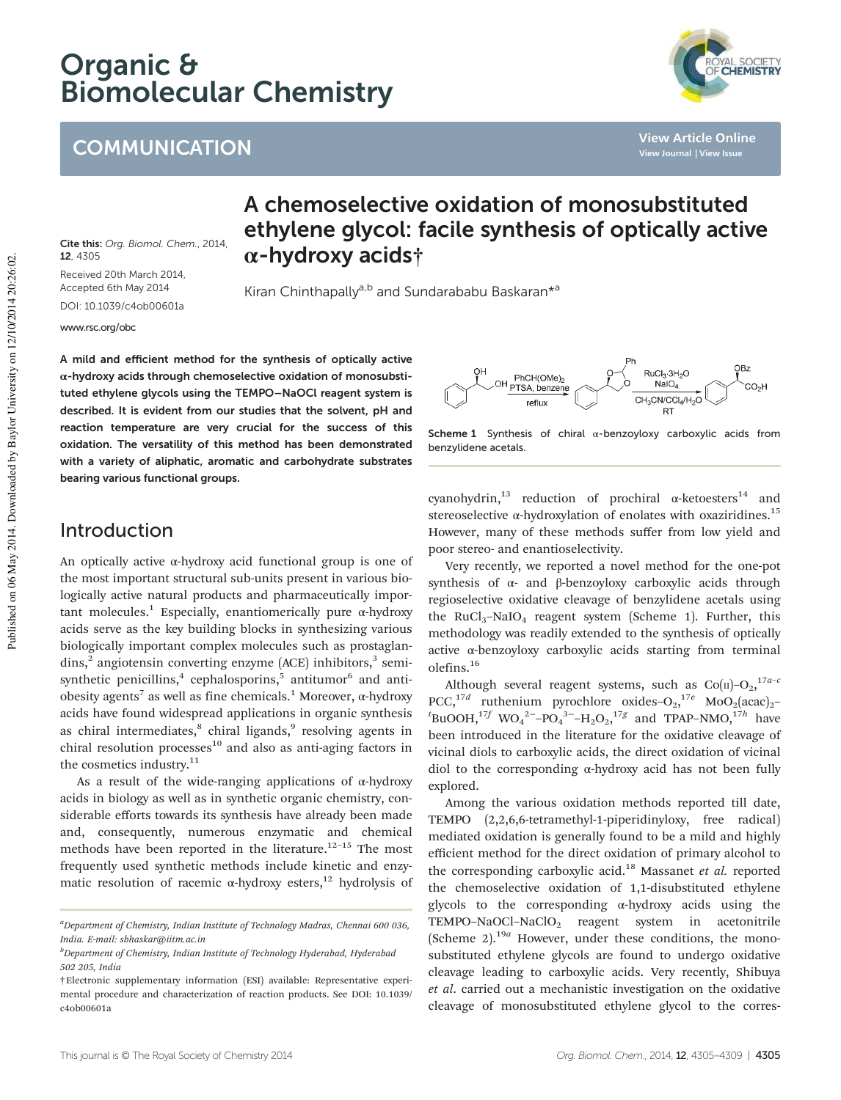# Organic & Biomolecular Chemistry

# **COMMUNICATION**



**View Article Online View Journal | View Issue**

Cite this: Org. Biomol. Chem., 2014, 12, 4305 Received 20th March 2014, Accepted 6th May 2014

DOI: 10.1039/c4ob00601a

www.rsc.org/obc

## A chemoselective oxidation of monosubstituted ethylene glycol: facile synthesis of optically active α-hydroxy acids†

Kiran Chinthapally<sup>a,b</sup> and Sundarababu Baskaran<sup>\*a</sup>

A mild and efficient method for the synthesis of optically active α-hydroxy acids through chemoselective oxidation of monosubstituted ethylene glycols using the TEMPO–NaOCl reagent system is described. It is evident from our studies that the solvent, pH and reaction temperature are very crucial for the success of this oxidation. The versatility of this method has been demonstrated with a variety of aliphatic, aromatic and carbohydrate substrates bearing various functional groups.

#### OBz RuCl<sub>3</sub>-3H<sub>2</sub>O PhCH(OMe)<sub>2</sub><br>OH <sub>PTSA, benzene</sub>  $NaIO<sub>4</sub>$ **CO<sub>2</sub>H** CH<sub>3</sub>CN/CCl<sub>4</sub>/H<sub>2</sub>O reflut

Scheme 1 Synthesis of chiral  $\alpha$ -benzoyloxy carboxylic acids from benzylidene acetals.

#### Introduction

An optically active α-hydroxy acid functional group is one of the most important structural sub-units present in various biologically active natural products and pharmaceutically important molecules.<sup>1</sup> Especially, enantiomerically pure  $\alpha$ -hydroxy acids serve as the key building blocks in synthesizing various biologically important complex molecules such as prostaglandins,<sup>2</sup> angiotensin converting enzyme (ACE) inhibitors,<sup>3</sup> semisynthetic penicillins,<sup>4</sup> cephalosporins,<sup>5</sup> antitumor<sup>6</sup> and antiobesity agents<sup>7</sup> as well as fine chemicals.<sup>1</sup> Moreover, α-hydroxy acids have found widespread applications in organic synthesis as chiral intermediates,<sup>8</sup> chiral ligands,<sup>9</sup> resolving agents in chiral resolution processes $10$  and also as anti-aging factors in the cosmetics industry.<sup>11</sup>

As a result of the wide-ranging applications of α-hydroxy acids in biology as well as in synthetic organic chemistry, considerable efforts towards its synthesis have already been made and, consequently, numerous enzymatic and chemical methods have been reported in the literature. $12-15$  The most frequently used synthetic methods include kinetic and enzymatic resolution of racemic  $\alpha$ -hydroxy esters,<sup>12</sup> hydrolysis of cyanohydrin,<sup>13</sup> reduction of prochiral  $\alpha$ -ketoesters<sup>14</sup> and stereoselective  $\alpha$ -hydroxylation of enolates with oxaziridines.<sup>15</sup> However, many of these methods suffer from low yield and poor stereo- and enantioselectivity.

Very recently, we reported a novel method for the one-pot synthesis of α- and β-benzoyloxy carboxylic acids through regioselective oxidative cleavage of benzylidene acetals using the RuCl<sub>3</sub>-NaIO<sub>4</sub> reagent system (Scheme 1). Further, this methodology was readily extended to the synthesis of optically active α-benzoyloxy carboxylic acids starting from terminal olefins.<sup>16</sup>

Although several reagent systems, such as  $Co(n)-O_2$ ,  $17a-c$ PCC,<sup>17d</sup> ruthenium pyrochlore oxides-O<sub>2</sub>,<sup>17e</sup> MoO<sub>2</sub>(acac)<sub>2</sub>- ${}^{t}$ BuOOH,<sup>17*f*</sup> WO<sub>4</sub><sup>2–</sup>-PO<sub>4</sub><sup>3–</sup>-H<sub>2</sub>O<sub>2</sub>,<sup>17*g*</sup> and TPAP–NMO,<sup>17*h*</sup> have been introduced in the literature for the oxidative cleavage of vicinal diols to carboxylic acids, the direct oxidation of vicinal diol to the corresponding α-hydroxy acid has not been fully explored.

Among the various oxidation methods reported till date, TEMPO (2,2,6,6-tetramethyl-1-piperidinyloxy, free radical) mediated oxidation is generally found to be a mild and highly efficient method for the direct oxidation of primary alcohol to the corresponding carboxylic acid.<sup>18</sup> Massanet *et al.* reported the chemoselective oxidation of 1,1-disubstituted ethylene glycols to the corresponding α-hydroxy acids using the TEMPO-NaOCl-NaClO<sub>2</sub> reagent system in acetonitrile (Scheme 2).<sup>19a</sup> However, under these conditions, the monosubstituted ethylene glycols are found to undergo oxidative cleavage leading to carboxylic acids. Very recently, Shibuya *et al*. carried out a mechanistic investigation on the oxidative cleavage of monosubstituted ethylene glycol to the corres-

*<sup>a</sup>Department of Chemistry, Indian Institute of Technology Madras, Chennai 600 036, India. E-mail: sbhaskar@iitm.ac.in*

*<sup>b</sup>Department of Chemistry, Indian Institute of Technology Hyderabad, Hyderabad 502 205, India*

<sup>†</sup>Electronic supplementary information (ESI) available: Representative experimental procedure and characterization of reaction products. See DOI: 10.1039/ c4ob00601a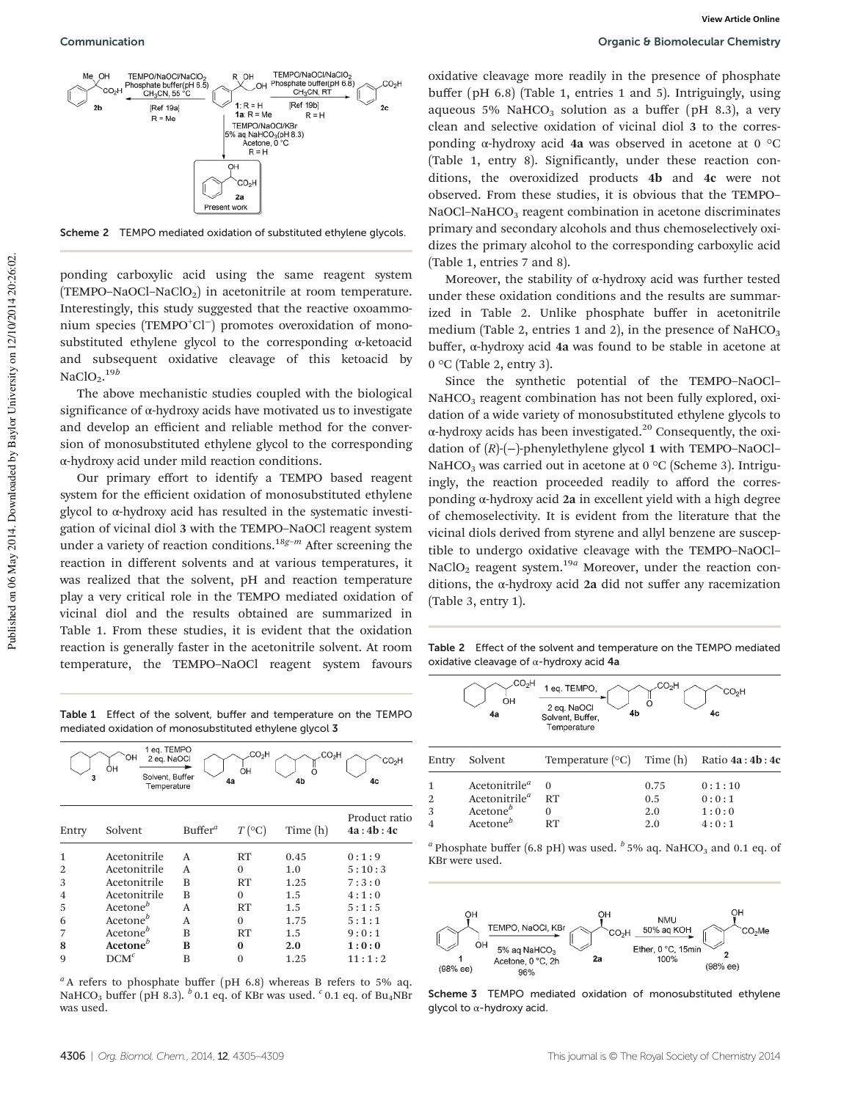Scheme 2 TEMPO mediated oxidation of substituted ethylene glycols.

ponding carboxylic acid using the same reagent system (TEMPO–NaOCl–NaClO<sub>2</sub>) in acetonitrile at room temperature. Interestingly, this study suggested that the reactive oxoammonium species (TEMPO<sup>+</sup>Cl<sup>−</sup>) promotes overoxidation of monosubstituted ethylene glycol to the corresponding α-ketoacid and subsequent oxidative cleavage of this ketoacid by NaClO<sub>2</sub>.<sup>19*b*</sup>

The above mechanistic studies coupled with the biological significance of α-hydroxy acids have motivated us to investigate and develop an efficient and reliable method for the conversion of monosubstituted ethylene glycol to the corresponding α-hydroxy acid under mild reaction conditions.

Our primary effort to identify a TEMPO based reagent system for the efficient oxidation of monosubstituted ethylene glycol to α-hydroxy acid has resulted in the systematic investigation of vicinal diol 3 with the TEMPO–NaOCl reagent system under a variety of reaction conditions.18*g*–*<sup>m</sup>* After screening the reaction in different solvents and at various temperatures, it was realized that the solvent, pH and reaction temperature play a very critical role in the TEMPO mediated oxidation of vicinal diol and the results obtained are summarized in Table 1. From these studies, it is evident that the oxidation reaction is generally faster in the acetonitrile solvent. At room temperature, the TEMPO–NaOCl reagent system favours

Table 1 Effect of the solvent, buffer and temperature on the TEMPC mediated oxidation of monosubstituted ethylene glycol 3

| 3              | 1 eq. TEMPO<br>OН<br>2 eq. NaOCl<br>OH<br>Solvent, Buffer<br>Temperature |            | .CO <sub>2</sub> H<br>OH<br>4a | .CO <sub>2</sub> H<br>∩<br>4b | CO <sub>2</sub> H<br>4c   |
|----------------|--------------------------------------------------------------------------|------------|--------------------------------|-------------------------------|---------------------------|
| Entry          | Solvent                                                                  | $Buffer^a$ | $T({}^{\circ}C)$               | Time (h)                      | Product ratio<br>4a:4b:4c |
| $\mathbf 1$    | Acetonitrile                                                             | A          | RT                             | 0.45                          | 0:1:9                     |
| $\overline{2}$ | Acetonitrile                                                             | A          | $\Omega$                       | 1.0                           | 5:10:3                    |
| 3              | Acetonitrile                                                             | B          | RT                             | 1.25                          | 7:3:0                     |
| 4              | Acetonitrile                                                             | B          | $\Omega$                       | 1.5                           | 4:1:0                     |
| 5              | $Accept^o$                                                               | A          | RT                             | 1.5                           | 5:1:5                     |
| 6              | Acetone <sup>b</sup>                                                     | A          | $\Omega$                       | 1.75                          | 5:1:1                     |
| 7              | Acetone <sup><i>b</i></sup>                                              | R          | RT                             | 1.5                           | 9:0:1                     |
| 8              | Acetone <sup>b</sup>                                                     | R          | 0                              | 2.0                           | 1:0:0                     |
| 9              | $DCM^c$                                                                  | B          | 0                              | 1.25                          | 11:1:2                    |

<sup>a</sup>A refers to phosphate buffer (pH 6.8) whereas B refers to 5% aq. NaHCO<sub>3</sub> buffer (pH 8.3). <sup>b</sup> 0.1 eq. of KBr was used. <sup>c</sup> 0.1 eq. of Bu<sub>4</sub>NBr was used.

oxidative cleavage more readily in the presence of phosphate buffer (pH 6.8) (Table 1, entries 1 and 5). Intriguingly, using aqueous 5% NaHCO<sub>3</sub> solution as a buffer (pH 8.3), a very clean and selective oxidation of vicinal diol 3 to the corresponding α-hydroxy acid 4a was observed in acetone at 0  $°C$ (Table 1, entry 8). Significantly, under these reaction conditions, the overoxidized products 4b and 4c were not observed. From these studies, it is obvious that the TEMPO–  $NaOCl-NaHCO<sub>3</sub>$  reagent combination in acetone discriminates primary and secondary alcohols and thus chemoselectively oxidizes the primary alcohol to the corresponding carboxylic acid (Table 1, entries 7 and 8).

Moreover, the stability of  $\alpha$ -hydroxy acid was further tested under these oxidation conditions and the results are summarized in Table 2. Unlike phosphate buffer in acetonitrile medium (Table 2, entries 1 and 2), in the presence of  $NAHCO<sub>3</sub>$ buffer, α-hydroxy acid 4a was found to be stable in acetone at 0 °C (Table 2, entry 3).

Since the synthetic potential of the TEMPO–NaOCl– NaHCO<sub>3</sub> reagent combination has not been fully explored, oxidation of a wide variety of monosubstituted ethylene glycols to  $\alpha$ -hydroxy acids has been investigated.<sup>20</sup> Consequently, the oxidation of (*R*)-(−)-phenylethylene glycol 1 with TEMPO–NaOCl– NaHCO<sub>3</sub> was carried out in acetone at 0  $^{\circ}$ C (Scheme 3). Intriguingly, the reaction proceeded readily to afford the corresponding α-hydroxy acid 2a in excellent yield with a high degree of chemoselectivity. It is evident from the literature that the vicinal diols derived from styrene and allyl benzene are susceptible to undergo oxidative cleavage with the TEMPO–NaOCl– NaClO<sub>2</sub> reagent system.<sup>19*a*</sup> Moreover, under the reaction conditions, the  $\alpha$ -hydroxy acid 2a did not suffer any racemization (Table 3, entry 1).

Table 2 Effect of the solvent and temperature on the TEMPO mediated oxidative cleavage of α-hydroxy acid 4a

| CO <sub>2</sub> H | 1 eq. TEMPO,                                   |    | ∵∪,H |
|-------------------|------------------------------------------------|----|------|
| ΟН<br>4a          | 2 eq. NaOCI<br>Solvent, Buffer,<br>Temperature | 4b | 4с   |

| Entry                                    | Solvent                                                                                        | Temperature $({}^{\circ}C)$ Time $(h)$ Ratio 4a : 4b : 4c |                           |                                   |
|------------------------------------------|------------------------------------------------------------------------------------------------|-----------------------------------------------------------|---------------------------|-----------------------------------|
| $\mathbf{1}$<br>2<br>3<br>$\overline{4}$ | Acetonitrile <sup>a</sup><br>Acetonitrile <sup>a</sup><br>Acetone $\mathbf{e}^b$<br>$Accept^b$ | RT<br>RT                                                  | 0.75<br>0.5<br>2.0<br>2.0 | 0:1:10<br>0:0:1<br>1:0:0<br>4:0:1 |
|                                          |                                                                                                |                                                           |                           |                                   |

<sup>*a*</sup> Phosphate buffer (6.8 pH) was used. <sup>*b*</sup> 5% aq. NaHCO<sub>3</sub> and 0.1 eq. of KBr were used.



Scheme 3 TEMPO mediated oxidation of monosubstituted ethylene glycol to α-hydroxy acid.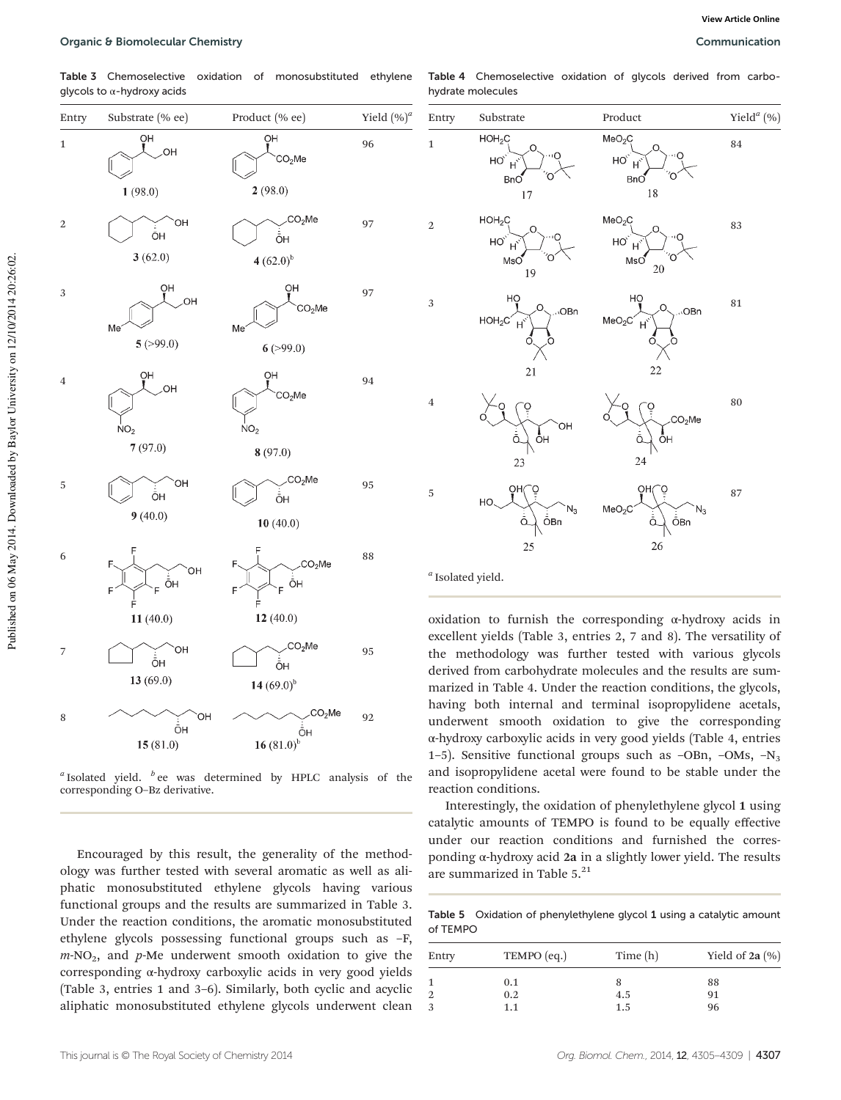Table 3 Chemoselective oxidation of monosubstituted ethylene glycols to  $\alpha$ -hydroxy acids

| Entry       | Substrate (% ee)                         | Product (% ee)                                                        | Yield $(\%)^a$ |
|-------------|------------------------------------------|-----------------------------------------------------------------------|----------------|
| $\mathbf 1$ | ŌΗ<br>OH.<br>1(98.0)                     | ŌH<br>CO <sub>2</sub> Me<br>2(98.0)                                   | 96             |
| 2           | ОН<br>ŌH<br>3(62.0)                      | CO <sub>2</sub> Me<br>ŌН<br>$4(62.0)^{b}$                             | 97             |
| 3           | ŌΗ<br>OH<br>Me<br>5(>99.0)               | ŌΗ<br>CO <sub>2</sub> Me<br>Me<br>6(>99.0)                            | 97             |
| $\,4\,$     | ŌH<br>OH<br>NO <sub>2</sub><br>7(97.0)   | ŌН<br>CO <sub>2</sub> Me<br>NO <sub>2</sub>                           | 94             |
| 5           | OН<br>ŌΗ<br>9(40.0)                      | 8(97.0)<br>CO <sub>2</sub> Me<br>ÔΗ<br>10(40.0)                       | 95             |
| 6           | F<br>F<br>OH<br>ŌΗ<br>Ë<br>F<br>11(40.0) | F<br>CO <sub>2</sub> Me<br>F.<br>ŌH<br>E.<br>F<br>12(40.0)            | 88             |
| 7           | ОН<br>ŌН<br>13 (69.0)                    | CO <sub>2</sub> Me<br>ŌH<br>14 $(69.0)^{b}$                           | 95             |
| 8           | OH<br>ŌH<br>15(81.0)                     | CO <sub>2</sub> Me<br>$\overrightarrow{O}$ H<br>16 (81.0 <sup>b</sup> | 92             |

*a* Isolated yield. *<sup>b</sup>* ee was determined by HPLC analysis of the corresponding O–Bz derivative.

Encouraged by this result, the generality of the methodology was further tested with several aromatic as well as aliphatic monosubstituted ethylene glycols having various functional groups and the results are summarized in Table 3. Under the reaction conditions, the aromatic monosubstituted ethylene glycols possessing functional groups such as –F,  $m\text{-}NO_2$ , and  $p\text{-}Me$  underwent smooth oxidation to give the corresponding α-hydroxy carboxylic acids in very good yields (Table 3, entries 1 and 3–6). Similarly, both cyclic and acyclic aliphatic monosubstituted ethylene glycols underwent clean

| Table 4 Chemoselective oxidation of glycols derived from carbo- |  |  |  |
|-----------------------------------------------------------------|--|--|--|
| hydrate molecules                                               |  |  |  |



oxidation to furnish the corresponding  $\alpha$ -hydroxy acids in excellent yields (Table 3, entries 2, 7 and 8). The versatility of the methodology was further tested with various glycols derived from carbohydrate molecules and the results are summarized in Table 4. Under the reaction conditions, the glycols, having both internal and terminal isopropylidene acetals, underwent smooth oxidation to give the corresponding α-hydroxy carboxylic acids in very good yields (Table 4, entries 1-5). Sensitive functional groups such as -OBn, -OMs,  $-N_3$ and isopropylidene acetal were found to be stable under the reaction conditions.

Interestingly, the oxidation of phenylethylene glycol 1 using catalytic amounts of TEMPO is found to be equally effective under our reaction conditions and furnished the corresponding α-hydroxy acid 2a in a slightly lower yield. The results are summarized in Table 5.<sup>21</sup>

Table 5 Oxidation of phenylethylene glycol 1 using a catalytic amount of TEMPO

| Entry | TEMPO (eq.) | Time $(h)$ | Yield of $2a$ $(\% )$ |
|-------|-------------|------------|-----------------------|
|       | 0.1         | 8          | 88                    |
|       | 0.2         | 4.5        | 91                    |
|       | 1.1         | 1.5        | 96                    |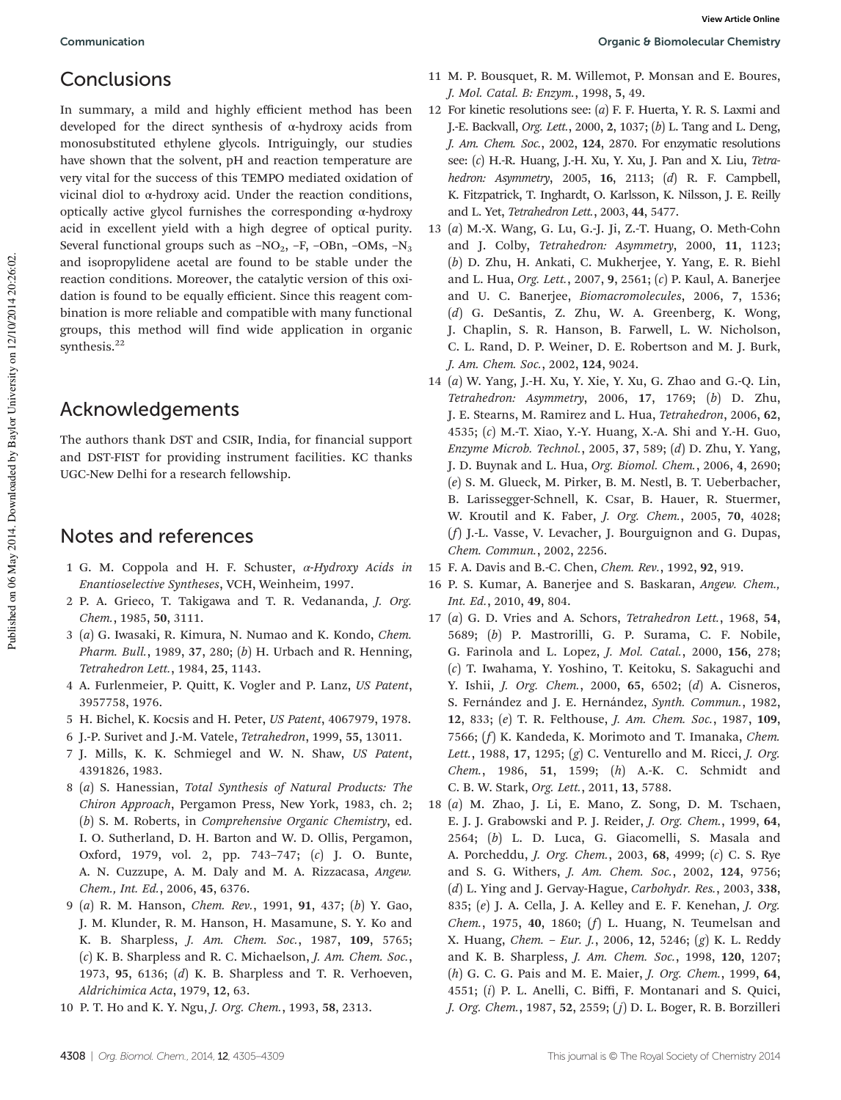## Conclusions

In summary, a mild and highly efficient method has been developed for the direct synthesis of α-hydroxy acids from monosubstituted ethylene glycols. Intriguingly, our studies have shown that the solvent, pH and reaction temperature are very vital for the success of this TEMPO mediated oxidation of vicinal diol to α-hydroxy acid. Under the reaction conditions, optically active glycol furnishes the corresponding α-hydroxy acid in excellent yield with a high degree of optical purity. Several functional groups such as  $-NO_2$ ,  $-F$ ,  $-OBn$ ,  $-OMs$ ,  $-N_3$ and isopropylidene acetal are found to be stable under the reaction conditions. Moreover, the catalytic version of this oxidation is found to be equally efficient. Since this reagent combination is more reliable and compatible with many functional groups, this method will find wide application in organic synthesis.<sup>22</sup>

#### Acknowledgements

The authors thank DST and CSIR, India, for financial support and DST-FIST for providing instrument facilities. KC thanks UGC-New Delhi for a research fellowship.

### Notes and references

- 1 G. M. Coppola and H. F. Schuster, α*-Hydroxy Acids in Enantioselective Syntheses*, VCH, Weinheim, 1997.
- 2 P. A. Grieco, T. Takigawa and T. R. Vedananda, *J. Org. Chem.*, 1985, 50, 3111.
- 3 (*a*) G. Iwasaki, R. Kimura, N. Numao and K. Kondo, *Chem. Pharm. Bull.*, 1989, 37, 280; (*b*) H. Urbach and R. Henning, *Tetrahedron Lett.*, 1984, 25, 1143.
- 4 A. Furlenmeier, P. Quitt, K. Vogler and P. Lanz, *US Patent*, 3957758, 1976.
- 5 H. Bichel, K. Kocsis and H. Peter, *US Patent*, 4067979, 1978.
- 6 J.-P. Surivet and J.-M. Vatele, *Tetrahedron*, 1999, 55, 13011.
- 7 J. Mills, K. K. Schmiegel and W. N. Shaw, *US Patent*, 4391826, 1983.
- 8 (*a*) S. Hanessian, *Total Synthesis of Natural Products: The Chiron Approach*, Pergamon Press, New York, 1983, ch. 2; (*b*) S. M. Roberts, in *Comprehensive Organic Chemistry*, ed. I. O. Sutherland, D. H. Barton and W. D. Ollis, Pergamon, Oxford, 1979, vol. 2, pp. 743–747; (*c*) J. O. Bunte, A. N. Cuzzupe, A. M. Daly and M. A. Rizzacasa, *Angew. Chem., Int. Ed.*, 2006, 45, 6376.
- 9 (*a*) R. M. Hanson, *Chem. Rev.*, 1991, 91, 437; (*b*) Y. Gao, J. M. Klunder, R. M. Hanson, H. Masamune, S. Y. Ko and K. B. Sharpless, *J. Am. Chem. Soc.*, 1987, 109, 5765; (*c*) K. B. Sharpless and R. C. Michaelson, *J. Am. Chem. Soc.*, 1973, 95, 6136; (*d*) K. B. Sharpless and T. R. Verhoeven, *Aldrichimica Acta*, 1979, 12, 63.
- 10 P. T. Ho and K. Y. Ngu, *J. Org. Chem.*, 1993, 58, 2313.
- 11 M. P. Bousquet, R. M. Willemot, P. Monsan and E. Boures, *J. Mol. Catal. B: Enzym.*, 1998, 5, 49.
- 12 For kinetic resolutions see: (*a*) F. F. Huerta, Y. R. S. Laxmi and J.-E. Backvall, *Org. Lett.*, 2000, 2, 1037; (*b*) L. Tang and L. Deng, *J. Am. Chem. Soc.*, 2002, 124, 2870. For enzymatic resolutions see: (*c*) H.-R. Huang, J.-H. Xu, Y. Xu, J. Pan and X. Liu, *Tetrahedron: Asymmetry*, 2005, 16, 2113; (*d*) R. F. Campbell, K. Fitzpatrick, T. Inghardt, O. Karlsson, K. Nilsson, J. E. Reilly and L. Yet, *Tetrahedron Lett.*, 2003, 44, 5477.
- 13 (*a*) M.-X. Wang, G. Lu, G.-J. Ji, Z.-T. Huang, O. Meth-Cohn and J. Colby, *Tetrahedron: Asymmetry*, 2000, 11, 1123; (*b*) D. Zhu, H. Ankati, C. Mukherjee, Y. Yang, E. R. Biehl and L. Hua, *Org. Lett.*, 2007, 9, 2561; (*c*) P. Kaul, A. Banerjee and U. C. Banerjee, *Biomacromolecules*, 2006, 7, 1536; (*d*) G. DeSantis, Z. Zhu, W. A. Greenberg, K. Wong, J. Chaplin, S. R. Hanson, B. Farwell, L. W. Nicholson, C. L. Rand, D. P. Weiner, D. E. Robertson and M. J. Burk, *J. Am. Chem. Soc.*, 2002, 124, 9024.
- 14 (*a*) W. Yang, J.-H. Xu, Y. Xie, Y. Xu, G. Zhao and G.-Q. Lin, *Tetrahedron: Asymmetry*, 2006, 17, 1769; (*b*) D. Zhu, J. E. Stearns, M. Ramirez and L. Hua, *Tetrahedron*, 2006, 62, 4535; (*c*) M.-T. Xiao, Y.-Y. Huang, X.-A. Shi and Y.-H. Guo, *Enzyme Microb. Technol.*, 2005, 37, 589; (*d*) D. Zhu, Y. Yang, J. D. Buynak and L. Hua, *Org. Biomol. Chem.*, 2006, 4, 2690; (*e*) S. M. Glueck, M. Pirker, B. M. Nestl, B. T. Ueberbacher, B. Larissegger-Schnell, K. Csar, B. Hauer, R. Stuermer, W. Kroutil and K. Faber, *J. Org. Chem.*, 2005, 70, 4028; (*f*) J.-L. Vasse, V. Levacher, J. Bourguignon and G. Dupas, *Chem. Commun.*, 2002, 2256.
- 15 F. A. Davis and B.-C. Chen, *Chem. Rev.*, 1992, 92, 919.
- 16 P. S. Kumar, A. Banerjee and S. Baskaran, *Angew. Chem., Int. Ed.*, 2010, 49, 804.
- 17 (*a*) G. D. Vries and A. Schors, *Tetrahedron Lett.*, 1968, 54, 5689; (*b*) P. Mastrorilli, G. P. Surama, C. F. Nobile, G. Farinola and L. Lopez, *J. Mol. Catal.*, 2000, 156, 278; (*c*) T. Iwahama, Y. Yoshino, T. Keitoku, S. Sakaguchi and Y. Ishii, *J. Org. Chem.*, 2000, 65, 6502; (*d*) A. Cisneros, S. Fernández and J. E. Hernández, *Synth. Commun.*, 1982, 12, 833; (*e*) T. R. Felthouse, *J. Am. Chem. Soc.*, 1987, 109, 7566; (*f*) K. Kandeda, K. Morimoto and T. Imanaka, *Chem. Lett.*, 1988, 17, 1295; (*g*) C. Venturello and M. Ricci, *J. Org. Chem.*, 1986, 51, 1599; (*h*) A.-K. C. Schmidt and C. B. W. Stark, *Org. Lett.*, 2011, 13, 5788.
- 18 (*a*) M. Zhao, J. Li, E. Mano, Z. Song, D. M. Tschaen, E. J. J. Grabowski and P. J. Reider, *J. Org. Chem.*, 1999, 64, 2564; (*b*) L. D. Luca, G. Giacomelli, S. Masala and A. Porcheddu, *J. Org. Chem.*, 2003, 68, 4999; (*c*) C. S. Rye and S. G. Withers, *J. Am. Chem. Soc.*, 2002, 124, 9756; (*d*) L. Ying and J. Gervay-Hague, *Carbohydr. Res.*, 2003, 338, 835; (*e*) J. A. Cella, J. A. Kelley and E. F. Kenehan, *J. Org. Chem.*, 1975, 40, 1860; (*f*) L. Huang, N. Teumelsan and X. Huang, *Chem.* – *Eur. J.*, 2006, 12, 5246; (*g*) K. L. Reddy and K. B. Sharpless, *J. Am. Chem. Soc.*, 1998, 120, 1207; (*h*) G. C. G. Pais and M. E. Maier, *J. Org. Chem.*, 1999, 64, 4551; (*i*) P. L. Anelli, C. Biffi, F. Montanari and S. Quici, *J. Org. Chem.*, 1987, 52, 2559; (*j*) D. L. Boger, R. B. Borzilleri